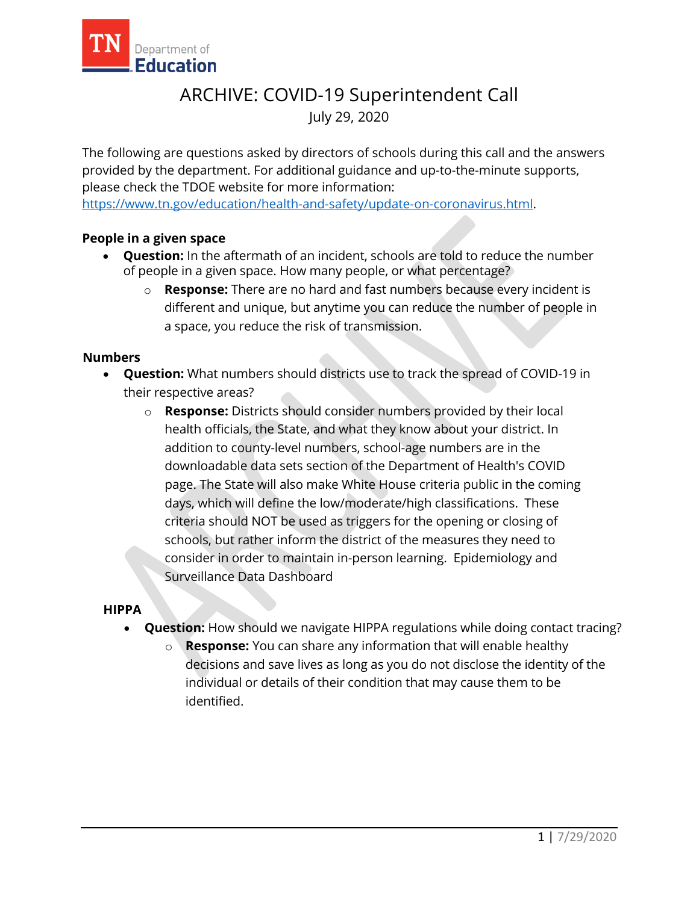

# Department of<br> **Education**<br>
ARCHIVE: COVID-19 Superintendent Call July 29, 2020

 please check the TDOE website for more information: The following are questions asked by directors of schools during this call and the answers provided by the department. For additional guidance and up-to-the-minute supports,

[https://www.tn.gov/education/health-and-safety/update-on-coronavirus.html.](https://www.tn.gov/education/health-and-safety/update-on-coronavirus.html)

## **People in a given space**

- • **Question:** In the aftermath of an incident, schools are told to reduce the number of people in a given space. How many people, or what percentage?
	- o **Response:** There are no hard and fast numbers because every incident is different and unique, but anytime you can reduce the number of people in a space, you reduce the risk of transmission.

#### **Numbers**

- **Question:** What numbers should districts use to track the spread of COVID-19 in their respective areas?
	- o **Response:** Districts should consider numbers provided by their local health officials, the State, and what they know about your district. In addition to county-level numbers, school-age numbers are in the downloadable data sets section of the Department of Health's COVID page. The State will also make White House criteria public in the coming days, which will define the low/moderate/high classifications. These criteria should NOT be used as triggers for the opening or closing of schools, but rather inform the district of the measures they need to consider in order to maintain in-person learning. Epidemiology and [Surveillance Data Dashboard](https://www.tn.gov/content/tn/health/cedep/ncov/data.html)

#### **HIPPA**

- **Question:** How should we navigate HIPPA regulations while doing contact tracing?
	- **Response:** You can share any information that will enable healthy decisions and save lives as long as you do not disclose the identity of the individual or details of their condition that may cause them to be identified.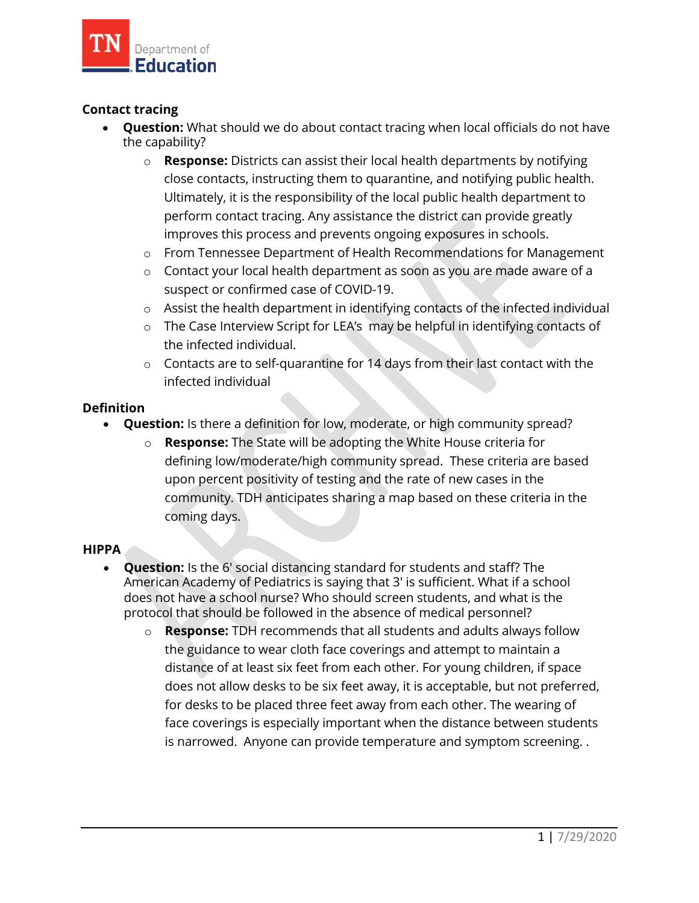

# **Contact tracing**

- • **Question:** What should we do about contact tracing when local officials do not have the capability?
	- Ĭ o **Response:** Districts can assist their local health departments by notifying close contacts, instructing them to quarantine, and notifying public health. Ultimately, it is the responsibility of the local public health department to perform contact tracing. Any assistance the district can provide greatly improves this process and prevents ongoing exposures in schools.
	- $\circ$   $\;$  From Tennessee Department of Health [Recommendations](https://www.tn.gov/content/dam/tn/health/documents/cedep/novel-coronavirus/School_Recommendations.pdf) for Management
	- $\circ$   $\;$  Contact your local health department as soon as you are made aware of a suspect or confirmed case of COVID-19.
	- $\circ$   $\;$  Assist the health department in identifying contacts of the infected individual
	- $\circ$   $\;\;$  The Case [Interview](https://www.tn.gov/content/dam/tn/health/documents/cedep/novel-coronavirus/Interview_LEAs.pdf) Script for LEA's  $\;$  may be helpful in identifying contacts of the infected individual.
	- $\circ$   $\;$  Contacts are to self-quarantine for 14 days from their last contact with the infected individual

## **Definition**

- **Question:** Is there a definition for low, moderate, or high community spread?
	- o **Response:** The State will be adopting the White House criteria for [defining low/moderate/high community spread. These criteria are based](https://www.tn.gov/content/tn/health/cedep/ncov/data.html) upon percent positivity of testing and the rate of new cases in the community. TDH anticipates sharing a map based on these criteria in the coming days.

## **HIPPA**

- **Question:** Is the 6' social distancing standard for students and staff? The American Academy of Pediatrics is saying that 3' is sufficient. What if a school does not have a school nurse? Who should screen students, and what is the protocol that should be followed in the absence of medical personnel?
	- o **Response:** TDH recommends that all students and adults always follow the guidance to wear cloth face coverings and attempt to maintain a distance of at least six feet from each other. For young children, if space does not allow desks to be six feet away, it is acceptable, but not preferred, for desks to be placed three feet away from each other. The wearing of face coverings is especially important when the distance between students is narrowed. Anyone can provide temperature and symptom screening. .